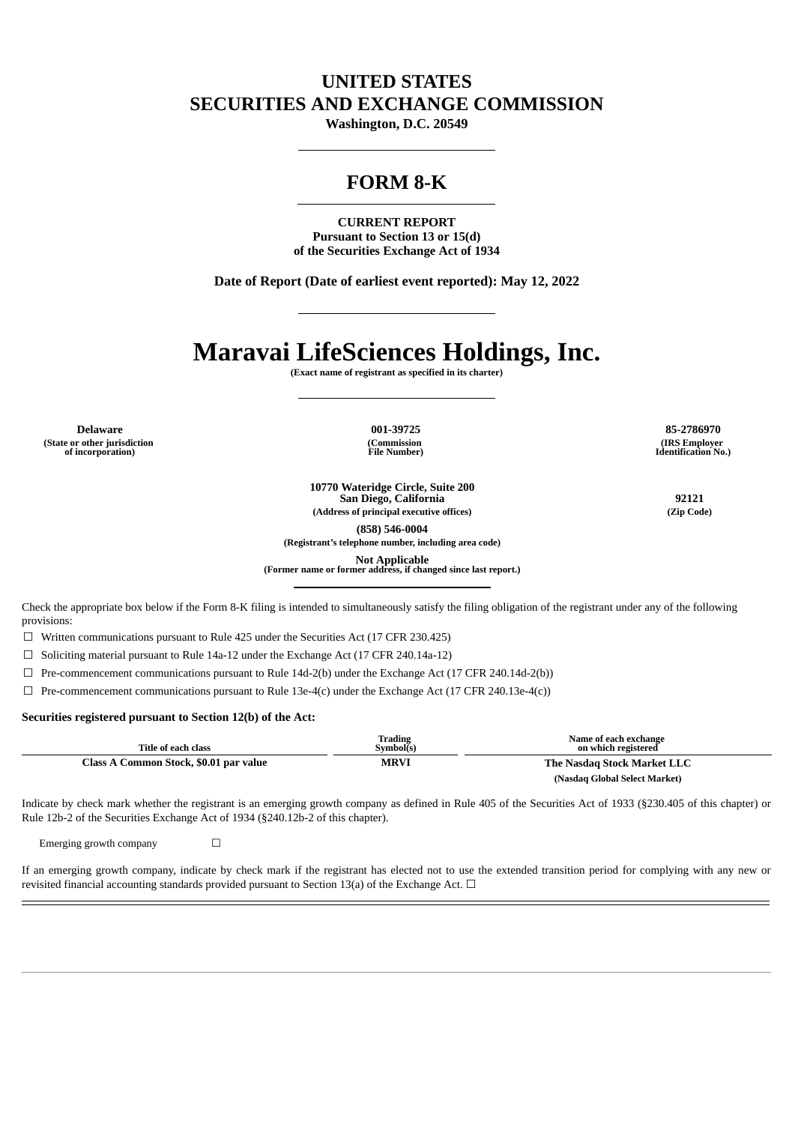## **UNITED STATES SECURITIES AND EXCHANGE COMMISSION**

**Washington, D.C. 20549**

## **FORM 8-K**

**CURRENT REPORT Pursuant to Section 13 or 15(d) of the Securities Exchange Act of 1934**

**Date of Report (Date of earliest event reported): May 12, 2022**

# **Maravai LifeSciences Holdings, Inc.**

**(Exact name of registrant as specified in its charter)**

**(State or other jurisdiction of incorporation)**

**(Commission File Number)**

**Delaware 001-39725 85-2786970 (IRS Employer Identification No.)**

> **10770 Wateridge Circle, Suite 200 San Diego, California 92121 (Address of principal executive offices) (Zip Code)**

> > **(858) 546-0004**

**(Registrant's telephone number, including area code)**

**Not Applicable (Former name or former address, if changed since last report.)**

Check the appropriate box below if the Form 8-K filing is intended to simultaneously satisfy the filing obligation of the registrant under any of the following provisions:

☐ Written communications pursuant to Rule 425 under the Securities Act (17 CFR 230.425)

 $\Box$  Soliciting material pursuant to Rule 14a-12 under the Exchange Act (17 CFR 240.14a-12)

 $\Box$  Pre-commencement communications pursuant to Rule 14d-2(b) under the Exchange Act (17 CFR 240.14d-2(b))

☐ Pre-commencement communications pursuant to Rule 13e-4(c) under the Exchange Act (17 CFR 240.13e-4(c))

#### **Securities registered pursuant to Section 12(b) of the Act:**

| Title of each class                    | Trading<br>Svmbol(s) | Name of each exchange<br>on which registered |  |
|----------------------------------------|----------------------|----------------------------------------------|--|
| Class A Common Stock, \$0.01 par value | <b>MRVI</b>          | The Nasdag Stock Market LLC                  |  |
|                                        |                      | (Nasdaq Global Select Market)                |  |

Indicate by check mark whether the registrant is an emerging growth company as defined in Rule 405 of the Securities Act of 1933 (§230.405 of this chapter) or Rule 12b-2 of the Securities Exchange Act of 1934 (§240.12b-2 of this chapter).

Emerging growth company  $\Box$ 

If an emerging growth company, indicate by check mark if the registrant has elected not to use the extended transition period for complying with any new or revisited financial accounting standards provided pursuant to Section 13(a) of the Exchange Act.  $\Box$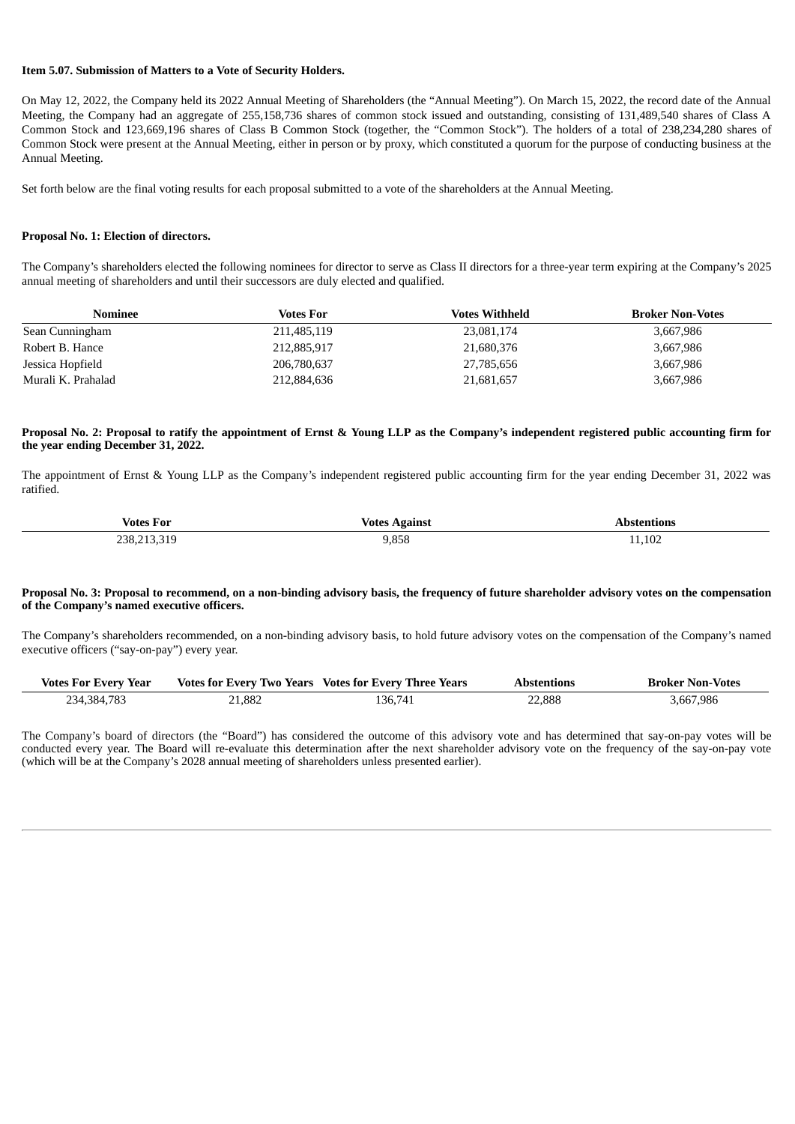#### **Item 5.07. Submission of Matters to a Vote of Security Holders.**

On May 12, 2022, the Company held its 2022 Annual Meeting of Shareholders (the "Annual Meeting"). On March 15, 2022, the record date of the Annual Meeting, the Company had an aggregate of 255,158,736 shares of common stock issued and outstanding, consisting of 131,489,540 shares of Class A Common Stock and 123,669,196 shares of Class B Common Stock (together, the "Common Stock"). The holders of a total of 238,234,280 shares of Common Stock were present at the Annual Meeting, either in person or by proxy, which constituted a quorum for the purpose of conducting business at the Annual Meeting.

Set forth below are the final voting results for each proposal submitted to a vote of the shareholders at the Annual Meeting.

#### **Proposal No. 1: Election of directors.**

The Company's shareholders elected the following nominees for director to serve as Class II directors for a three-year term expiring at the Company's 2025 annual meeting of shareholders and until their successors are duly elected and qualified.

| Nominee            | Votes For   | <b>Votes Withheld</b> | <b>Broker Non-Votes</b> |
|--------------------|-------------|-----------------------|-------------------------|
| Sean Cunningham    | 211,485,119 | 23,081,174            | 3,667,986               |
| Robert B. Hance    | 212,885,917 | 21,680,376            | 3,667,986               |
| Jessica Hopfield   | 206,780,637 | 27,785,656            | 3,667,986               |
| Murali K. Prahalad | 212,884,636 | 21,681,657            | 3,667,986               |

#### Proposal No. 2: Proposal to ratify the appointment of Ernst & Young LLP as the Company's independent registered public accounting firm for **the year ending December 31, 2022.**

The appointment of Ernst & Young LLP as the Company's independent registered public accounting firm for the year ending December 31, 2022 was ratified.

| $\mathbf{r}$<br>Votes For<br>__ | .<br>∕otes              | tions.<br>.          |
|---------------------------------|-------------------------|----------------------|
| 238.∠<br>9.טנ<br>$\sim$ $\sim$  | $\sim -$<br><br>$- - -$ | $\sqrt{2}$<br>11,102 |

#### Proposal No. 3: Proposal to recommend, on a non-binding advisory basis, the frequency of future shareholder advisory votes on the compensation **of the Company's named executive officers.**

The Company's shareholders recommended, on a non-binding advisory basis, to hold future advisory votes on the compensation of the Company's named executive officers ("say-on-pay") every year.

| <b>Votes For Every Year</b> |        | Votes for Every Two Years Votes for Every Three Years | <b>Abstentions</b> | <b>Broker Non-Votes</b> |
|-----------------------------|--------|-------------------------------------------------------|--------------------|-------------------------|
| 234,384,783                 | 21,882 | 136.741                                               | 22,888             | 3,667,986               |

The Company's board of directors (the "Board") has considered the outcome of this advisory vote and has determined that say-on-pay votes will be conducted every year. The Board will re-evaluate this determination after the next shareholder advisory vote on the frequency of the say-on-pay vote (which will be at the Company's 2028 annual meeting of shareholders unless presented earlier).